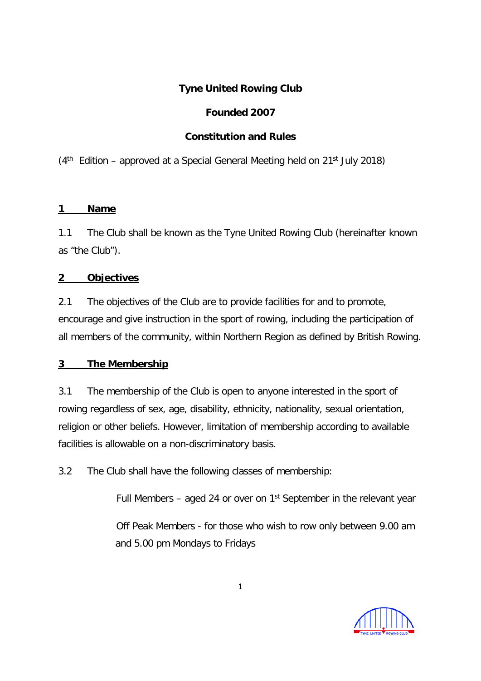# **Tyne United Rowing Club**

# **Founded 2007**

# **Constitution and Rules**

 $(4<sup>th</sup>$  Edition – approved at a Special General Meeting held on 21<sup>st</sup> July 2018)

## **1 Name**

1.1 The Club shall be known as the Tyne United Rowing Club (hereinafter known as "the Club").

# **2 Objectives**

2.1 The objectives of the Club are to provide facilities for and to promote, encourage and give instruction in the sport of rowing, including the participation of all members of the community, within Northern Region as defined by British Rowing.

# **3 The Membership**

3.1 The membership of the Club is open to anyone interested in the sport of rowing regardless of sex, age, disability, ethnicity, nationality, sexual orientation, religion or other beliefs. However, limitation of membership according to available facilities is allowable on a non-discriminatory basis.

3.2 The Club shall have the following classes of membership:

Full Members – aged 24 or over on  $1<sup>st</sup>$  September in the relevant year

Off Peak Members - for those who wish to row only between 9.00 am and 5.00 pm Mondays to Fridays

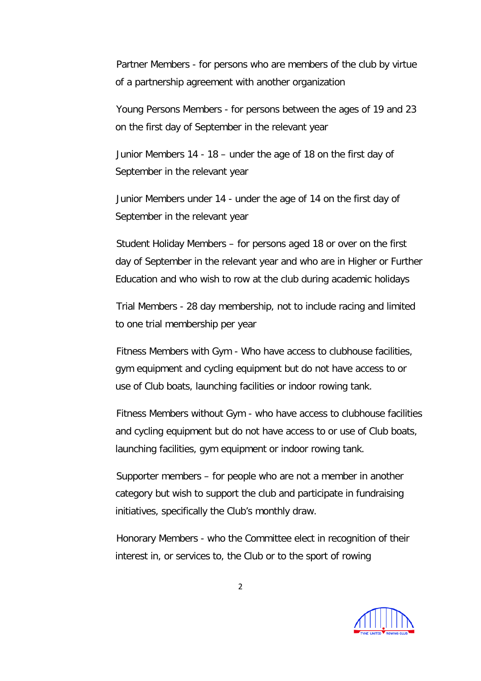Partner Members - for persons who are members of the club by virtue of a partnership agreement with another organization

Young Persons Members - for persons between the ages of 19 and 23 on the first day of September in the relevant year

Junior Members 14 - 18 – under the age of 18 on the first day of September in the relevant year

Junior Members under 14 - under the age of 14 on the first day of September in the relevant year

Student Holiday Members – for persons aged 18 or over on the first day of September in the relevant year and who are in Higher or Further Education and who wish to row at the club during academic holidays

Trial Members - 28 day membership, not to include racing and limited to one trial membership per year

Fitness Members with Gym - Who have access to clubhouse facilities, gym equipment and cycling equipment but do not have access to or use of Club boats, launching facilities or indoor rowing tank.

Fitness Members without Gym - who have access to clubhouse facilities and cycling equipment but do not have access to or use of Club boats, launching facilities, gym equipment or indoor rowing tank.

Supporter members – for people who are not a member in another category but wish to support the club and participate in fundraising initiatives, specifically the Club's monthly draw.

Honorary Members - who the Committee elect in recognition of their interest in, or services to, the Club or to the sport of rowing

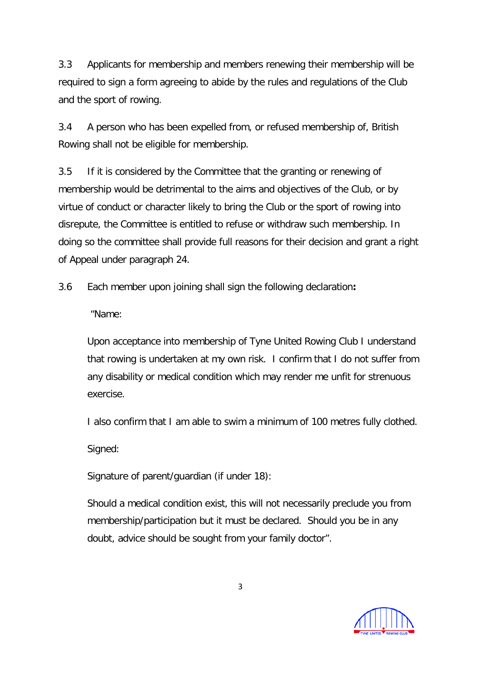3.3 Applicants for membership and members renewing their membership will be required to sign a form agreeing to abide by the rules and regulations of the Club and the sport of rowing.

3.4 A person who has been expelled from, or refused membership of, British Rowing shall not be eligible for membership.

3.5 If it is considered by the Committee that the granting or renewing of membership would be detrimental to the aims and objectives of the Club, or by virtue of conduct or character likely to bring the Club or the sport of rowing into disrepute, the Committee is entitled to refuse or withdraw such membership. In doing so the committee shall provide full reasons for their decision and grant a right of Appeal under paragraph 24.

3.6 Each member upon joining shall sign the following declaration**:**

"Name:

Upon acceptance into membership of Tyne United Rowing Club I understand that rowing is undertaken at my own risk. I confirm that I do not suffer from any disability or medical condition which may render me unfit for strenuous exercise.

I also confirm that I am able to swim a minimum of 100 metres fully clothed.

Signed:

Signature of parent/guardian (if under 18):

Should a medical condition exist, this will not necessarily preclude you from membership/participation but it must be declared. Should you be in any doubt, advice should be sought from your family doctor".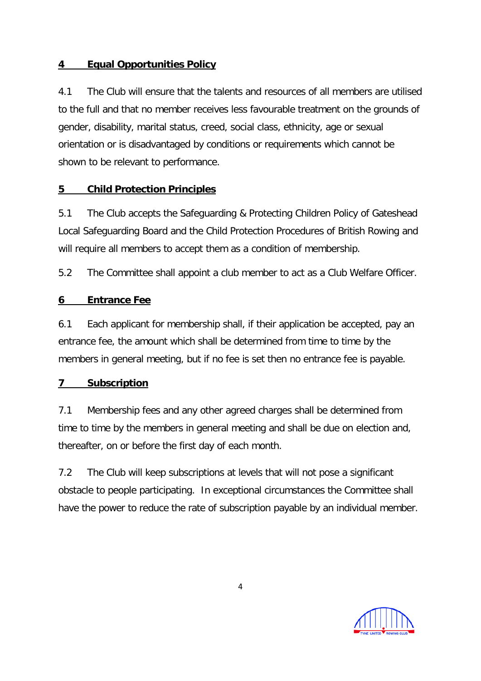## **4 Equal Opportunities Policy**

4.1 The Club will ensure that the talents and resources of all members are utilised to the full and that no member receives less favourable treatment on the grounds of gender, disability, marital status, creed, social class, ethnicity, age or sexual orientation or is disadvantaged by conditions or requirements which cannot be shown to be relevant to performance.

## **5 Child Protection Principles**

5.1 The Club accepts the Safeguarding & Protecting Children Policy of Gateshead Local Safeguarding Board and the Child Protection Procedures of British Rowing and will require all members to accept them as a condition of membership.

5.2 The Committee shall appoint a club member to act as a Club Welfare Officer.

## **6 Entrance Fee**

6.1 Each applicant for membership shall, if their application be accepted, pay an entrance fee, the amount which shall be determined from time to time by the members in general meeting, but if no fee is set then no entrance fee is payable.

### **7 Subscription**

7.1 Membership fees and any other agreed charges shall be determined from time to time by the members in general meeting and shall be due on election and, thereafter, on or before the first day of each month.

7.2 The Club will keep subscriptions at levels that will not pose a significant obstacle to people participating. In exceptional circumstances the Committee shall have the power to reduce the rate of subscription payable by an individual member.

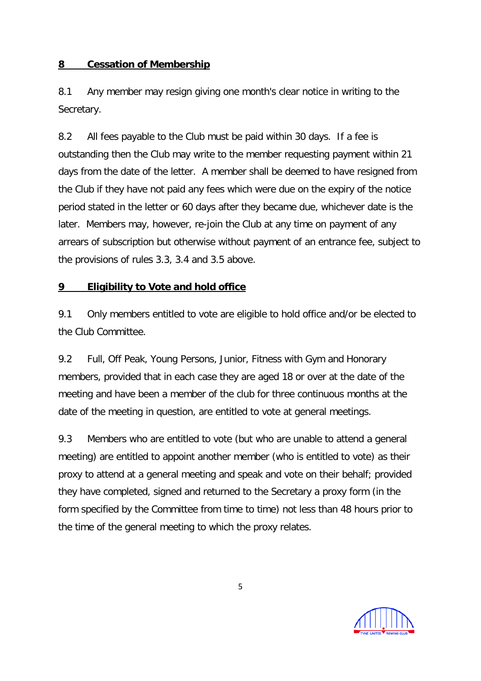#### **8 Cessation of Membership**

8.1 Any member may resign giving one month's clear notice in writing to the Secretary.

8.2 All fees payable to the Club must be paid within 30 days. If a fee is outstanding then the Club may write to the member requesting payment within 21 days from the date of the letter. A member shall be deemed to have resigned from the Club if they have not paid any fees which were due on the expiry of the notice period stated in the letter or 60 days after they became due, whichever date is the later. Members may, however, re-join the Club at any time on payment of any arrears of subscription but otherwise without payment of an entrance fee, subject to the provisions of rules 3.3, 3.4 and 3.5 above.

### **9 Eligibility to Vote and hold office**

9.1 Only members entitled to vote are eligible to hold office and/or be elected to the Club Committee.

9.2 Full, Off Peak, Young Persons, Junior, Fitness with Gym and Honorary members, provided that in each case they are aged 18 or over at the date of the meeting and have been a member of the club for three continuous months at the date of the meeting in question, are entitled to vote at general meetings.

9.3 Members who are entitled to vote (but who are unable to attend a general meeting) are entitled to appoint another member (who is entitled to vote) as their proxy to attend at a general meeting and speak and vote on their behalf; provided they have completed, signed and returned to the Secretary a proxy form (in the form specified by the Committee from time to time) not less than 48 hours prior to the time of the general meeting to which the proxy relates.

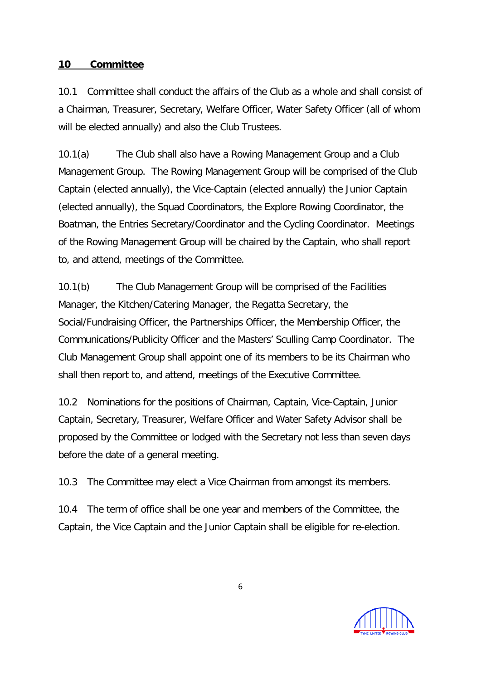#### **10 Committee**

10.1 Committee shall conduct the affairs of the Club as a whole and shall consist of a Chairman, Treasurer, Secretary, Welfare Officer, Water Safety Officer (all of whom will be elected annually) and also the Club Trustees.

10.1(a) The Club shall also have a Rowing Management Group and a Club Management Group. The Rowing Management Group will be comprised of the Club Captain (elected annually), the Vice-Captain (elected annually) the Junior Captain (elected annually), the Squad Coordinators, the Explore Rowing Coordinator, the Boatman, the Entries Secretary/Coordinator and the Cycling Coordinator. Meetings of the Rowing Management Group will be chaired by the Captain, who shall report to, and attend, meetings of the Committee.

10.1(b) The Club Management Group will be comprised of the Facilities Manager, the Kitchen/Catering Manager, the Regatta Secretary, the Social/Fundraising Officer, the Partnerships Officer, the Membership Officer, the Communications/Publicity Officer and the Masters' Sculling Camp Coordinator. The Club Management Group shall appoint one of its members to be its Chairman who shall then report to, and attend, meetings of the Executive Committee.

10.2 Nominations for the positions of Chairman, Captain, Vice-Captain, Junior Captain, Secretary, Treasurer, Welfare Officer and Water Safety Advisor shall be proposed by the Committee or lodged with the Secretary not less than seven days before the date of a general meeting.

10.3 The Committee may elect a Vice Chairman from amongst its members.

10.4 The term of office shall be one year and members of the Committee, the Captain, the Vice Captain and the Junior Captain shall be eligible for re-election.

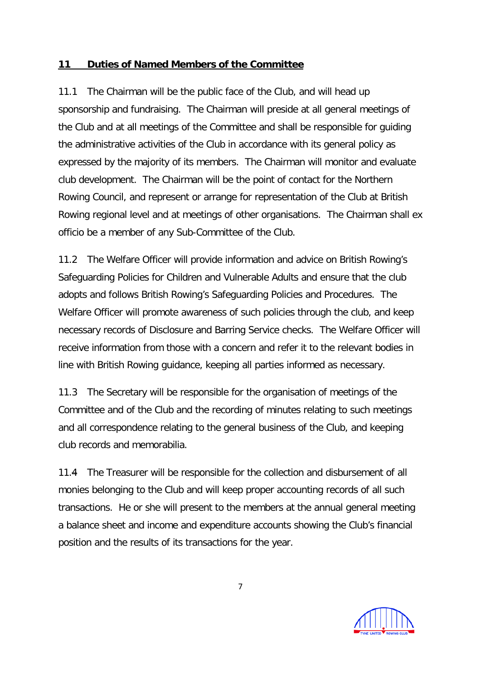#### **11 Duties of Named Members of the Committee**

11.1 The Chairman will be the public face of the Club, and will head up sponsorship and fundraising. The Chairman will preside at all general meetings of the Club and at all meetings of the Committee and shall be responsible for guiding the administrative activities of the Club in accordance with its general policy as expressed by the majority of its members. The Chairman will monitor and evaluate club development. The Chairman will be the point of contact for the Northern Rowing Council, and represent or arrange for representation of the Club at British Rowing regional level and at meetings of other organisations. The Chairman shall ex officio be a member of any Sub-Committee of the Club.

11.2 The Welfare Officer will provide information and advice on British Rowing's Safeguarding Policies for Children and Vulnerable Adults and ensure that the club adopts and follows British Rowing's Safeguarding Policies and Procedures. The Welfare Officer will promote awareness of such policies through the club, and keep necessary records of Disclosure and Barring Service checks. The Welfare Officer will receive information from those with a concern and refer it to the relevant bodies in line with British Rowing guidance, keeping all parties informed as necessary.

11.3 The Secretary will be responsible for the organisation of meetings of the Committee and of the Club and the recording of minutes relating to such meetings and all correspondence relating to the general business of the Club, and keeping club records and memorabilia.

11.4 The Treasurer will be responsible for the collection and disbursement of all monies belonging to the Club and will keep proper accounting records of all such transactions. He or she will present to the members at the annual general meeting a balance sheet and income and expenditure accounts showing the Club's financial position and the results of its transactions for the year.

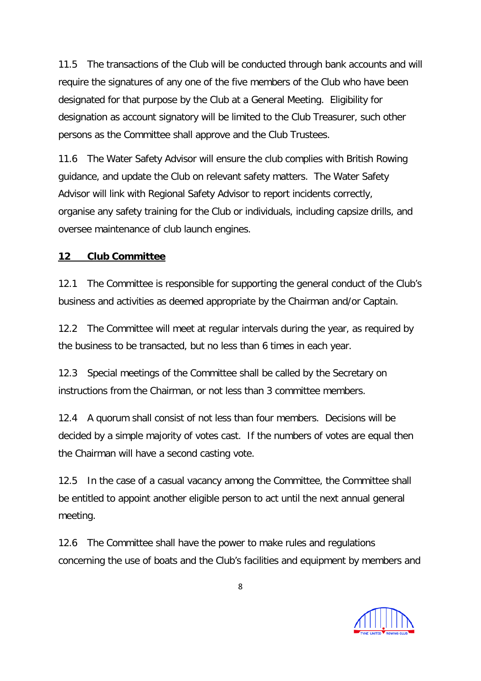11.5 The transactions of the Club will be conducted through bank accounts and will require the signatures of any one of the five members of the Club who have been designated for that purpose by the Club at a General Meeting. Eligibility for designation as account signatory will be limited to the Club Treasurer, such other persons as the Committee shall approve and the Club Trustees.

11.6 The Water Safety Advisor will ensure the club complies with British Rowing guidance, and update the Club on relevant safety matters. The Water Safety Advisor will link with Regional Safety Advisor to report incidents correctly, organise any safety training for the Club or individuals, including capsize drills, and oversee maintenance of club launch engines.

### **12 Club Committee**

12.1 The Committee is responsible for supporting the general conduct of the Club's business and activities as deemed appropriate by the Chairman and/or Captain.

12.2 The Committee will meet at regular intervals during the year, as required by the business to be transacted, but no less than 6 times in each year.

12.3 Special meetings of the Committee shall be called by the Secretary on instructions from the Chairman, or not less than 3 committee members.

12.4 A quorum shall consist of not less than four members. Decisions will be decided by a simple majority of votes cast. If the numbers of votes are equal then the Chairman will have a second casting vote.

12.5 In the case of a casual vacancy among the Committee, the Committee shall be entitled to appoint another eligible person to act until the next annual general meeting.

12.6 The Committee shall have the power to make rules and regulations concerning the use of boats and the Club's facilities and equipment by members and

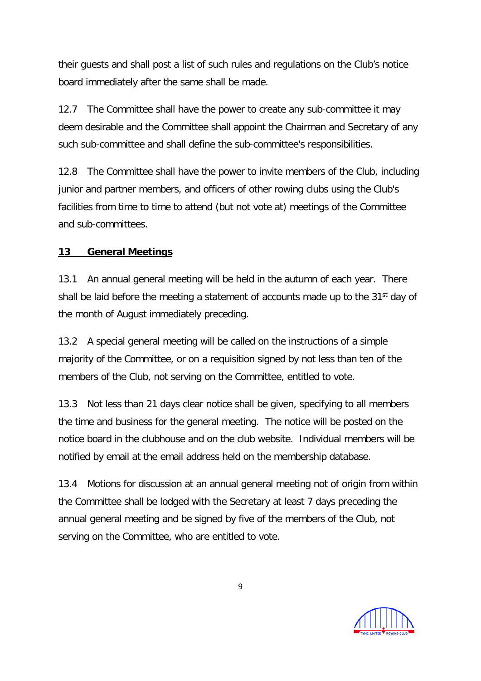their guests and shall post a list of such rules and regulations on the Club's notice board immediately after the same shall be made.

12.7 The Committee shall have the power to create any sub-committee it may deem desirable and the Committee shall appoint the Chairman and Secretary of any such sub-committee and shall define the sub-committee's responsibilities.

12.8 The Committee shall have the power to invite members of the Club, including junior and partner members, and officers of other rowing clubs using the Club's facilities from time to time to attend (but not vote at) meetings of the Committee and sub-committees.

# **13 General Meetings**

13.1 An annual general meeting will be held in the autumn of each year. There shall be laid before the meeting a statement of accounts made up to the 31<sup>st</sup> day of the month of August immediately preceding.

13.2 A special general meeting will be called on the instructions of a simple majority of the Committee, or on a requisition signed by not less than ten of the members of the Club, not serving on the Committee, entitled to vote.

13.3 Not less than 21 days clear notice shall be given, specifying to all members the time and business for the general meeting. The notice will be posted on the notice board in the clubhouse and on the club website. Individual members will be notified by email at the email address held on the membership database.

13.4 Motions for discussion at an annual general meeting not of origin from within the Committee shall be lodged with the Secretary at least 7 days preceding the annual general meeting and be signed by five of the members of the Club, not serving on the Committee, who are entitled to vote.

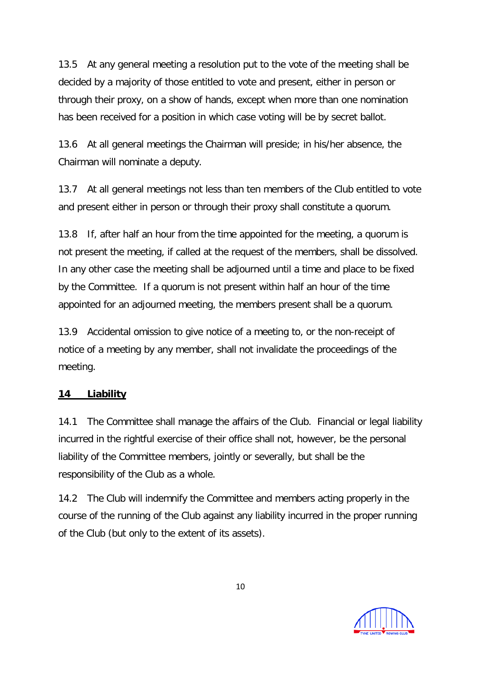13.5 At any general meeting a resolution put to the vote of the meeting shall be decided by a majority of those entitled to vote and present, either in person or through their proxy, on a show of hands, except when more than one nomination has been received for a position in which case voting will be by secret ballot.

13.6 At all general meetings the Chairman will preside; in his/her absence, the Chairman will nominate a deputy.

13.7 At all general meetings not less than ten members of the Club entitled to vote and present either in person or through their proxy shall constitute a quorum.

13.8 If, after half an hour from the time appointed for the meeting, a quorum is not present the meeting, if called at the request of the members, shall be dissolved. In any other case the meeting shall be adjourned until a time and place to be fixed by the Committee. If a quorum is not present within half an hour of the time appointed for an adjourned meeting, the members present shall be a quorum.

13.9 Accidental omission to give notice of a meeting to, or the non-receipt of notice of a meeting by any member, shall not invalidate the proceedings of the meeting.

#### **14 Liability**

14.1 The Committee shall manage the affairs of the Club. Financial or legal liability incurred in the rightful exercise of their office shall not, however, be the personal liability of the Committee members, jointly or severally, but shall be the responsibility of the Club as a whole.

14.2 The Club will indemnify the Committee and members acting properly in the course of the running of the Club against any liability incurred in the proper running of the Club (but only to the extent of its assets).

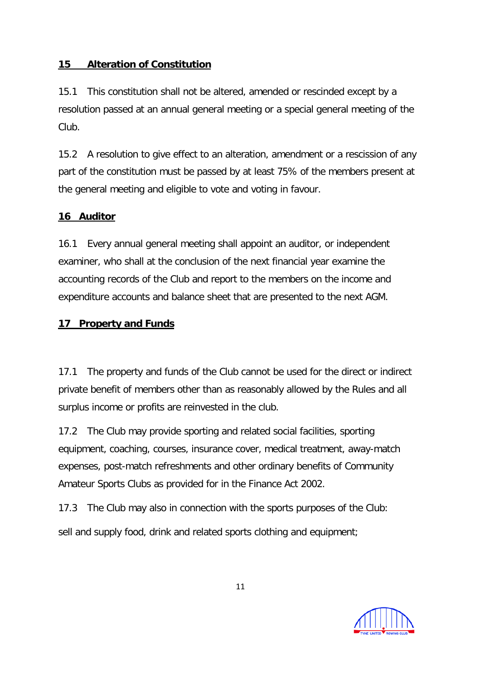### **15 Alteration of Constitution**

15.1 This constitution shall not be altered, amended or rescinded except by a resolution passed at an annual general meeting or a special general meeting of the Club.

15.2 A resolution to give effect to an alteration, amendment or a rescission of any part of the constitution must be passed by at least 75% of the members present at the general meeting and eligible to vote and voting in favour.

## **16 Auditor**

16.1 Every annual general meeting shall appoint an auditor, or independent examiner, who shall at the conclusion of the next financial year examine the accounting records of the Club and report to the members on the income and expenditure accounts and balance sheet that are presented to the next AGM.

## **17 Property and Funds**

17.1 The property and funds of the Club cannot be used for the direct or indirect private benefit of members other than as reasonably allowed by the Rules and all surplus income or profits are reinvested in the club.

17.2 The Club may provide sporting and related social facilities, sporting equipment, coaching, courses, insurance cover, medical treatment, away-match expenses, post-match refreshments and other ordinary benefits of Community Amateur Sports Clubs as provided for in the Finance Act 2002.

17.3 The Club may also in connection with the sports purposes of the Club: sell and supply food, drink and related sports clothing and equipment;

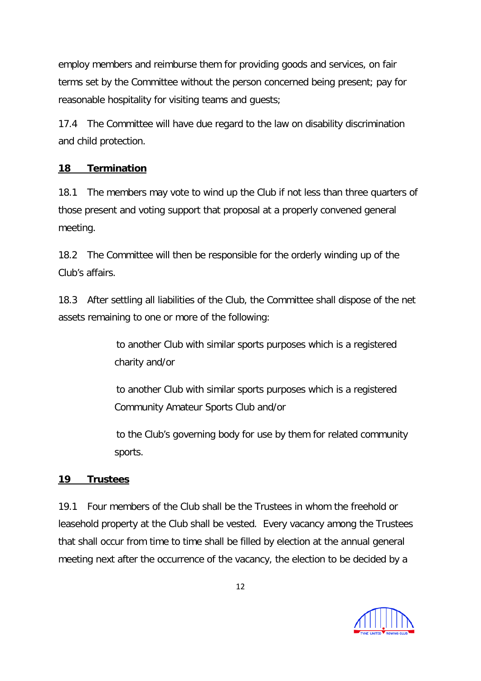employ members and reimburse them for providing goods and services, on fair terms set by the Committee without the person concerned being present; pay for reasonable hospitality for visiting teams and guests;

17.4 The Committee will have due regard to the law on disability discrimination and child protection.

### **18 Termination**

18.1 The members may vote to wind up the Club if not less than three quarters of those present and voting support that proposal at a properly convened general meeting.

18.2 The Committee will then be responsible for the orderly winding up of the Club's affairs.

18.3 After settling all liabilities of the Club, the Committee shall dispose of the net assets remaining to one or more of the following:

> to another Club with similar sports purposes which is a registered charity and/or

> to another Club with similar sports purposes which is a registered Community Amateur Sports Club and/or

to the Club's governing body for use by them for related community sports.

### **19 Trustees**

19.1 Four members of the Club shall be the Trustees in whom the freehold or leasehold property at the Club shall be vested. Every vacancy among the Trustees that shall occur from time to time shall be filled by election at the annual general meeting next after the occurrence of the vacancy, the election to be decided by a

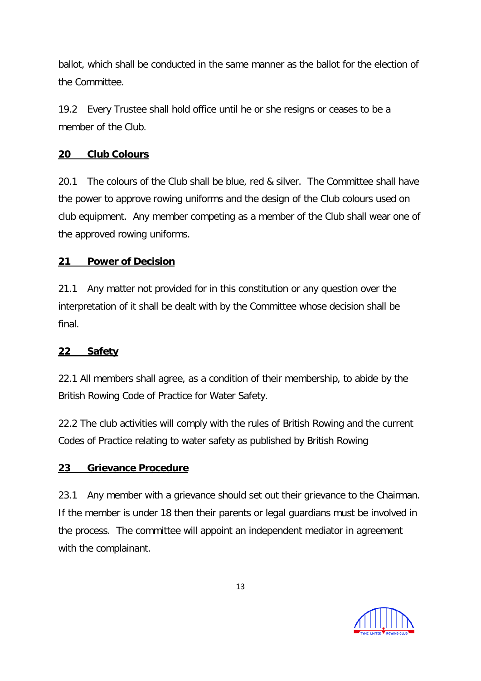ballot, which shall be conducted in the same manner as the ballot for the election of the Committee.

19.2 Every Trustee shall hold office until he or she resigns or ceases to be a member of the Club.

# **20 Club Colours**

20.1 The colours of the Club shall be blue, red & silver. The Committee shall have the power to approve rowing uniforms and the design of the Club colours used on club equipment. Any member competing as a member of the Club shall wear one of the approved rowing uniforms.

# **21 Power of Decision**

21.1 Any matter not provided for in this constitution or any question over the interpretation of it shall be dealt with by the Committee whose decision shall be final.

### **22 Safety**

22.1 All members shall agree, as a condition of their membership, to abide by the British Rowing Code of Practice for Water Safety.

22.2 The club activities will comply with the rules of British Rowing and the current Codes of Practice relating to water safety as published by British Rowing

### **23 Grievance Procedure**

23.1 Any member with a grievance should set out their grievance to the Chairman. If the member is under 18 then their parents or legal guardians must be involved in the process. The committee will appoint an independent mediator in agreement with the complainant.

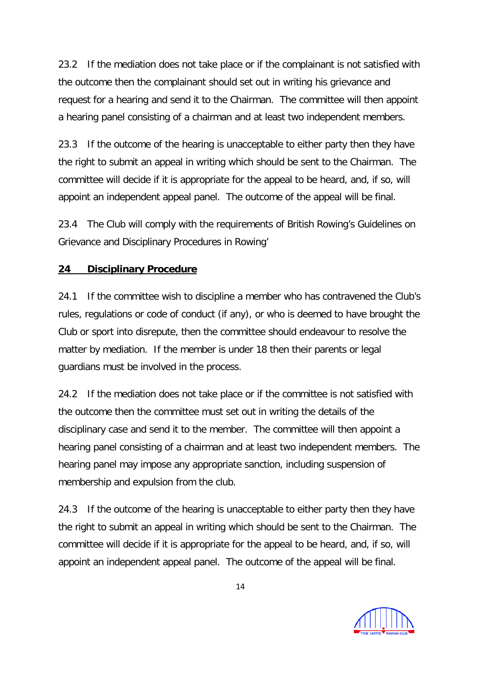23.2 If the mediation does not take place or if the complainant is not satisfied with the outcome then the complainant should set out in writing his grievance and request for a hearing and send it to the Chairman. The committee will then appoint a hearing panel consisting of a chairman and at least two independent members.

23.3 If the outcome of the hearing is unacceptable to either party then they have the right to submit an appeal in writing which should be sent to the Chairman. The committee will decide if it is appropriate for the appeal to be heard, and, if so, will appoint an independent appeal panel. The outcome of the appeal will be final.

23.4 The Club will comply with the requirements of British Rowing's Guidelines on Grievance and Disciplinary Procedures in Rowing'

## **24 Disciplinary Procedure**

24.1 If the committee wish to discipline a member who has contravened the Club's rules, regulations or code of conduct (if any), or who is deemed to have brought the Club or sport into disrepute, then the committee should endeavour to resolve the matter by mediation. If the member is under 18 then their parents or legal guardians must be involved in the process.

24.2 If the mediation does not take place or if the committee is not satisfied with the outcome then the committee must set out in writing the details of the disciplinary case and send it to the member. The committee will then appoint a hearing panel consisting of a chairman and at least two independent members. The hearing panel may impose any appropriate sanction, including suspension of membership and expulsion from the club.

24.3 If the outcome of the hearing is unacceptable to either party then they have the right to submit an appeal in writing which should be sent to the Chairman. The committee will decide if it is appropriate for the appeal to be heard, and, if so, will appoint an independent appeal panel. The outcome of the appeal will be final.